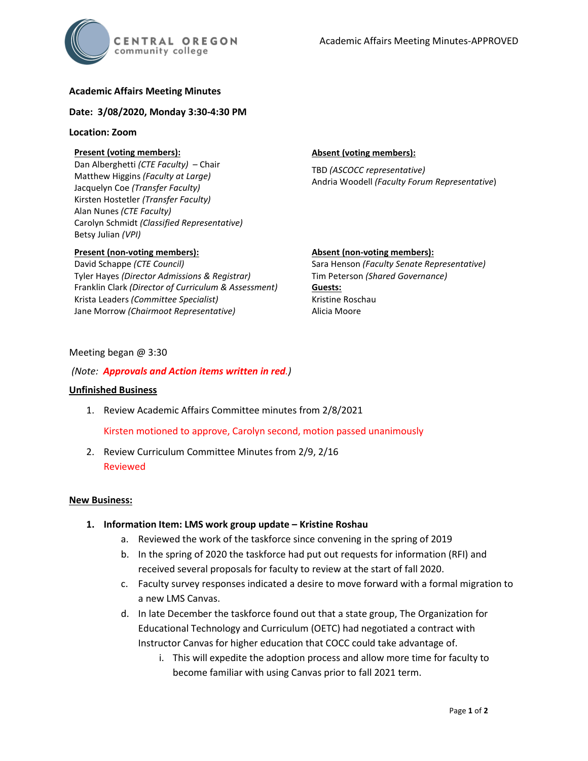

# **Academic Affairs Meeting Minutes**

## **Date: 3/08/2020, Monday 3:30-4:30 PM**

## **Location: Zoom**

# **Present (voting members):**

Dan Alberghetti *(CTE Faculty)* – Chair Matthew Higgins *(Faculty at Large)* Jacquelyn Coe *(Transfer Faculty)*  Kirsten Hostetler *(Transfer Faculty)* Alan Nunes *(CTE Faculty)* Carolyn Schmidt *(Classified Representative)* Betsy Julian *(VPI)*

# **Present (non-voting members):**

David Schappe *(CTE Council)* Tyler Hayes *(Director Admissions & Registrar)* Franklin Clark *(Director of Curriculum & Assessment)* Krista Leaders *(Committee Specialist)* Jane Morrow *(Chairmoot Representative)*

## **Absent (voting members):**

Alicia Moore

TBD *(ASCOCC representative)* Andria Woodell *(Faculty Forum Representative*)

# **Absent (non-voting members):** Sara Henson *(Faculty Senate Representative)* Tim Peterson *(Shared Governance)* **Guests:** Kristine Roschau

## Meeting began @ 3:30

## *(Note: Approvals and Action items written in red.)*

#### **Unfinished Business**

1. Review Academic Affairs Committee minutes from 2/8/2021

Kirsten motioned to approve, Carolyn second, motion passed unanimously

2. Review Curriculum Committee Minutes from 2/9, 2/16 Reviewed

#### **New Business:**

- **1. Information Item: LMS work group update – Kristine Roshau**
	- a. Reviewed the work of the taskforce since convening in the spring of 2019
	- b. In the spring of 2020 the taskforce had put out requests for information (RFI) and received several proposals for faculty to review at the start of fall 2020.
	- c. Faculty survey responses indicated a desire to move forward with a formal migration to a new LMS Canvas.
	- d. In late December the taskforce found out that a state group, The Organization for Educational Technology and Curriculum (OETC) had negotiated a contract with Instructor Canvas for higher education that COCC could take advantage of.
		- i. This will expedite the adoption process and allow more time for faculty to become familiar with using Canvas prior to fall 2021 term.